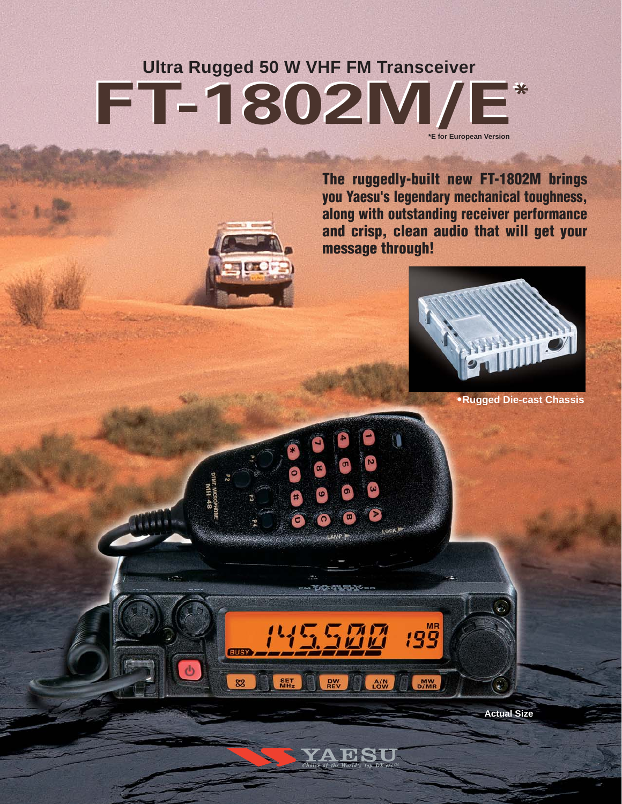# **FT-1802M/E<sup>\*</sup>**<br> **FT-1802M/E Ultra Rugged 50 W VHF FM Transceiver \*E for European Version**

**The ruggedly-built new FT-1802M brings you Yaesu's legendary mechanical toughness, along with outstanding receiver performance and crisp, clean audio that will get your message through!**

T

 $199$ 

MW<sub>D/MR</sub>

理論を実す

**DW**<br>REV

**RIIS** 

82

SET<br>MHz

沼沼

 $A/N$ 



**•Rugged Die-cast Chassis**

**Actual Size**

િ